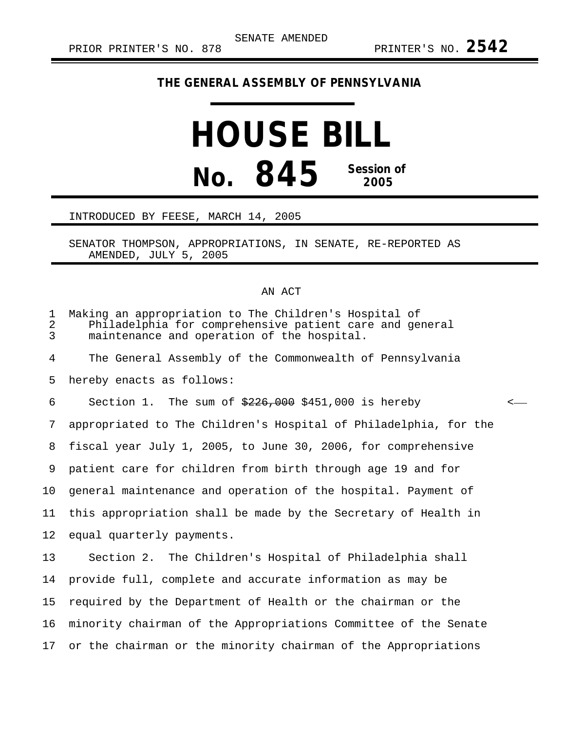## **THE GENERAL ASSEMBLY OF PENNSYLVANIA**

## **HOUSE BILL No. 845 Session of 2005**

## INTRODUCED BY FEESE, MARCH 14, 2005

SENATOR THOMPSON, APPROPRIATIONS, IN SENATE, RE-REPORTED AS AMENDED, JULY 5, 2005

## AN ACT

| 1<br>2<br>3 | Making an appropriation to The Children's Hospital of<br>Philadelphia for comprehensive patient care and general<br>maintenance and operation of the hospital. |   |
|-------------|----------------------------------------------------------------------------------------------------------------------------------------------------------------|---|
| 4           | The General Assembly of the Commonwealth of Pennsylvania                                                                                                       |   |
| 5           | hereby enacts as follows:                                                                                                                                      |   |
| 6           | Section 1. The sum of $\frac{226}{100}$ , \$451,000 is hereby                                                                                                  | < |
| 7           | appropriated to The Children's Hospital of Philadelphia, for the                                                                                               |   |
| 8           | fiscal year July 1, 2005, to June 30, 2006, for comprehensive                                                                                                  |   |
| 9           | patient care for children from birth through age 19 and for                                                                                                    |   |
| 10          | general maintenance and operation of the hospital. Payment of                                                                                                  |   |
| 11          | this appropriation shall be made by the Secretary of Health in                                                                                                 |   |
| 12          | equal quarterly payments.                                                                                                                                      |   |
| 13          | Section 2. The Children's Hospital of Philadelphia shall                                                                                                       |   |
| 14          | provide full, complete and accurate information as may be                                                                                                      |   |
| 15          | required by the Department of Health or the chairman or the                                                                                                    |   |
| 16          | minority chairman of the Appropriations Committee of the Senate                                                                                                |   |
| 17          | or the chairman or the minority chairman of the Appropriations                                                                                                 |   |